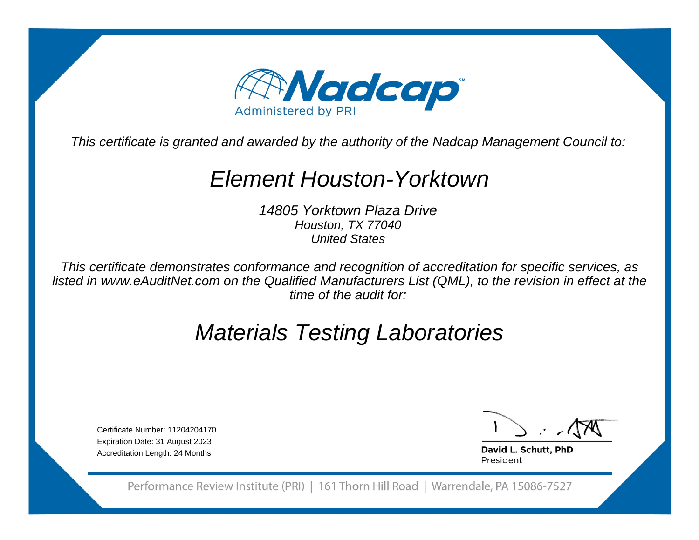

This certificate is granted and awarded by the authority of the Nadcap Management Council to:

## Element Houston-Yorktown

14805 Yorktown Plaza DriveHouston, TX 77040United States

This certificate demonstrates conformance and recognition of accreditation for specific services, as listed in www.eAuditNet.com on the Qualified Manufacturers List (QML), to the revision in effect at thetime of the audit for:

# Materials Testing Laboratories

Certificate Number: 11204204170 Expiration Date: 31 August 2023Accreditation Length: 24 Months

David L. Schutt, PhD President

Performance Review Institute (PRI) | 161 Thorn Hill Road | Warrendale, PA 15086-7527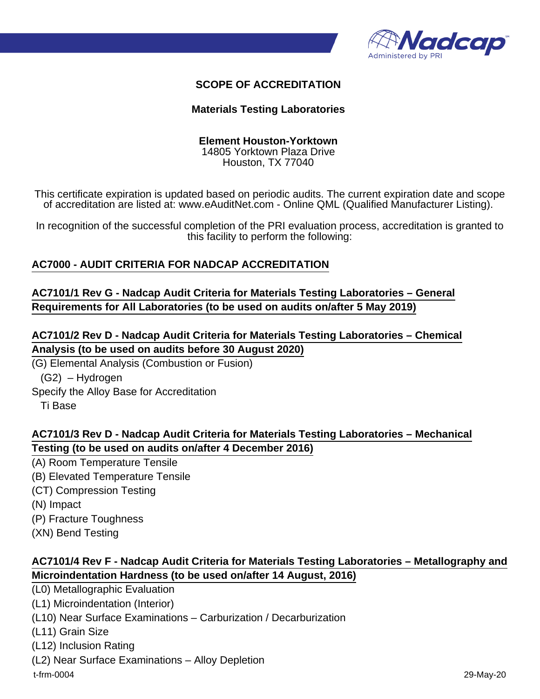

#### **SCOPE OF ACCREDITATION**

#### **Materials Testing Laboratories**

#### **Element Houston-Yorktown**

14805 Yorktown Plaza Drive Houston, TX 77040

This certificate expiration is updated based on periodic audits. The current expiration date and scope of accreditation are listed at: www.eAuditNet.com - Online QML (Qualified Manufacturer Listing).

In recognition of the successful completion of the PRI evaluation process, accreditation is granted to this facility to perform the following:

#### **AC7000 - AUDIT CRITERIA FOR NADCAP ACCREDITATION**

#### **AC7101/1 Rev G - Nadcap Audit Criteria for Materials Testing Laboratories – General Requirements for All Laboratories (to be used on audits on/after 5 May 2019)**

## **AC7101/2 Rev D - Nadcap Audit Criteria for Materials Testing Laboratories – Chemical Analysis (to be used on audits before 30 August 2020)**

(G) Elemental Analysis (Combustion or Fusion) (G2) – Hydrogen Specify the Alloy Base for Accreditation Ti Base

#### **AC7101/3 Rev D - Nadcap Audit Criteria for Materials Testing Laboratories – Mechanical Testing (to be used on audits on/after 4 December 2016)**

(A) Room Temperature Tensile (B) Elevated Temperature Tensile (CT) Compression Testing (N) Impact (P) Fracture Toughness (XN) Bend Testing

## **AC7101/4 Rev F - Nadcap Audit Criteria for Materials Testing Laboratories – Metallography and Microindentation Hardness (to be used on/after 14 August, 2016)**

(L0) Metallographic Evaluation (L1) Microindentation (Interior) (L10) Near Surface Examinations – Carburization / Decarburization (L11) Grain Size (L12) Inclusion Rating (L2) Near Surface Examinations – Alloy Depletion